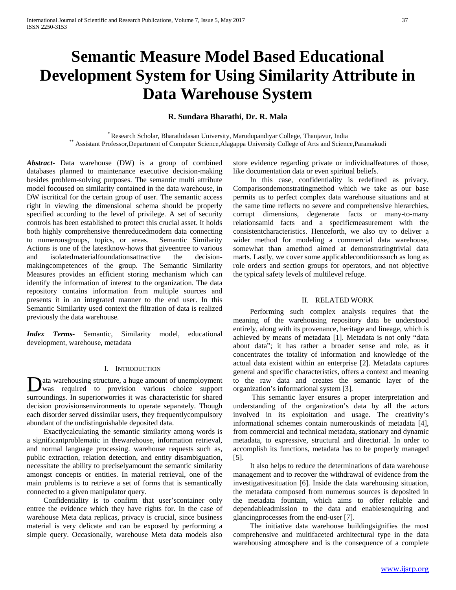# **Semantic Measure Model Based Educational Development System for Using Similarity Attribute in Data Warehouse System**

## **R. Sundara Bharathi, Dr. R. Mala**

\* Research Scholar, Bharathidasan University, Marudupandiyar College, Thanjavur, India \*\* Assistant Professor,Department of Computer Science,Alagappa University College of Arts and Science,Paramakudi

*Abstract***-** Data warehouse (DW) is a group of combined databases planned to maintenance executive decision-making besides problem-solving purposes. The semantic multi attribute model focoused on similarity contained in the data warehouse, in DW iscritical for the certain group of user. The semantic access right in viewing the dimensional schema should be properly specified according to the level of privilege. A set of security controls has been established to protect this crucial asset. It holds both highly comprehensive thenreducedmodern data connecting to numerousgroups, topics, or areas. Semantic Similarity Actions is one of the latestknow-hows that giveentree to various and isolatedmaterialfoundationsattractive the decisionmakingcompetences of the group. The Semantic Similarity Measures provides an efficient storing mechanism which can identify the information of interest to the organization. The data repository contains information from multiple sources and presents it in an integrated manner to the end user. In this Semantic Similarity used context the filtration of data is realized previously the data warehouse.

*Index Terms*- Semantic, Similarity model, educational development, warehouse, metadata

## I. INTRODUCTION

ata warehousing structure, a huge amount of unemployment Data warehousing structure, a huge amount of unemployment<br>was required to provision various choice support surroundings. In superiorworries it was characteristic for shared decision provisionsenvironments to operate separately. Though each disorder served dissimilar users, they frequentlycompulsory abundant of the undistinguishable deposited data.

 Exactlycalculating the semantic similarity among words is a significantproblematic in thewarehouse, information retrieval, and normal language processing. warehouse requests such as, public extraction, relation detection, and entity disambiguation, necessitate the ability to preciselyamount the semantic similarity amongst concepts or entities. In material retrieval, one of the main problems is to retrieve a set of forms that is semantically connected to a given manipulator query.

 Confidentiality is to confirm that user'scontainer only entree the evidence which they have rights for. In the case of warehouse Meta data replicas, privacy is crucial, since business material is very delicate and can be exposed by performing a simple query. Occasionally, warehouse Meta data models also store evidence regarding private or individualfeatures of those, like documentation data or even spiritual beliefs.

 In this case, confidentiality is redefined as privacy. Comparisondemonstratingmethod which we take as our base permits us to perfect complex data warehouse situations and at the same time reflects no severe and comprehensive hierarchies, corrupt dimensions, degenerate facts or many-to-many relationsamid facts and a specificmeasurement with the consistentcharacteristics. Henceforth, we also try to deliver a wider method for modeling a commercial data warehouse, somewhat than amethod aimed at demonstratingtrivial data marts. Lastly, we cover some applicableconditionssuch as long as role orders and section groups for operators, and not objective the typical safety levels of multilevel refuge.

#### II. RELATED WORK

 Performing such complex analysis requires that the meaning of the warehousing repository data be understood entirely, along with its provenance, heritage and lineage, which is achieved by means of metadata [1]. Metadata is not only "data about data"; it has rather a broader sense and role, as it concentrates the totality of information and knowledge of the actual data existent within an enterprise [2]. Metadata captures general and specific characteristics, offers a context and meaning to the raw data and creates the semantic layer of the organization's informational system [3].

 This semantic layer ensures a proper interpretation and understanding of the organization's data by all the actors involved in its exploitation and usage. The creativity's informational schemes contain numerouskinds of metadata [4], from commercial and technical metadata, stationary and dynamic metadata, to expressive, structural and directorial. In order to accomplish its functions, metadata has to be properly managed [5].

 It also helps to reduce the determinations of data warehouse management and to recover the withdrawal of evidence from the investigativesituation [6]. Inside the data warehousing situation, the metadata composed from numerous sources is deposited in the metadata fountain, which aims to offer reliable and dependableadmission to the data and enablesenquiring and glancingprocesses from the end-user [7].

 The initiative data warehouse buildingsignifies the most comprehensive and multifaceted architectural type in the data warehousing atmosphere and is the consequence of a complete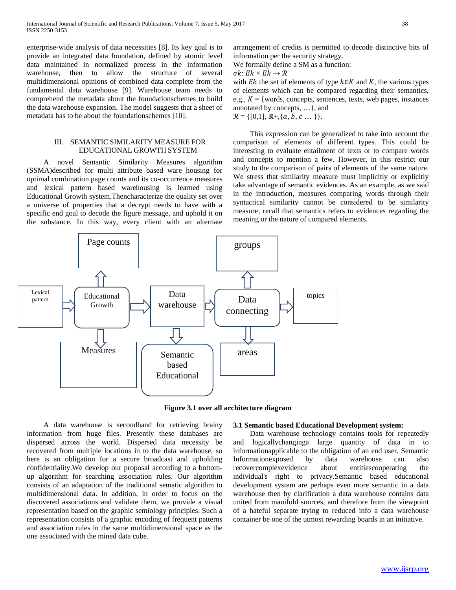enterprise-wide analysis of data necessities [8]. Its key goal is to provide an integrated data foundation, defined by atomic level data maintained in normalized process in the information warehouse, then to allow the structure of several multidimensional opinions of combined data complete from the fundamental data warehouse [9]. Warehouse team needs to comprehend the metadata about the foundationschemes to build the data warehouse expansion. The model suggests that a sheet of metadata has to be about the foundationschemes [10].

## III. SEMANTIC SIMILARITY MEASURE FOR EDUCATIONAL GROWTH SYSTEM

 A novel Semantic Similarity Measures algorithm (SSMA)described for multi attribute based ware housing for optimal combination page counts and its co-occurrence measures and lexical pattern based warehousing is learned using Educational Growth system.Thencharacterize the quality set over a universe of properties that a decrypt needs to have with a specific end goal to decode the figure message, and uphold it on the substance. In this way, every client with an alternate arrangement of credits is permitted to decode distinctive bits of information per the security strategy.

We formally define a SM as a function:

 $\sigma k: E k \times E k \rightarrow \mathcal{R}$ 

with  $Ek$  the set of elements of type  $k \in K$  and K, the various types of elements which can be compared regarding their semantics, e.g.,  $K = \{words, concepts, sentences, texts, web pages, instances\}$ annotated by concepts, …}, and  $\mathcal{R} = \{ [0,1], \mathbb{R} + \{a, b, c \dots \} \}.$ 

 This expression can be generalized to take into account the comparison of elements of different types. This could be interesting to evaluate entailment of texts or to compare words and concepts to mention a few. However, in this restrict our study to the comparison of pairs of elements of the same nature. We stress that similarity measure must implicitly or explicitly take advantage of semantic evidences. As an example, as we said in the introduction, measures comparing words through their syntactical similarity cannot be considered to be similarity measure; recall that semantics refers to evidences regarding the meaning or the nature of compared elements.



**Figure 3.1 over all architecture diagram**

 A data warehouse is secondhand for retrieving brainy information from huge files. Presently these databases are dispersed across the world. Dispersed data necessity be recovered from multiple locations in to the data warehouse, so here is an obligation for a secure broadcast and upholding confidentiality.We develop our proposal according to a bottomup algorithm for searching association rules. Our algorithm consists of an adaptation of the traditional sematic algorithm to multidimensional data. In addition, in order to focus on the discovered associations and validate them, we provide a visual representation based on the graphic semiology principles. Such a representation consists of a graphic encoding of frequent patterns and association rules in the same multidimensional space as the one associated with the mined data cube.

#### **3.1 Semantic based Educational Development system:**

 Data warehouse technology contains tools for repeatedly and logicallychanginga large quantity of data in to informationapplicable to the obligation of an end user. Semantic Informationexposed by data warehouse can also recovercomplexevidence about entitiescooperating the individual's right to privacy.Semantic based educational development system are perhaps even more semantic in a data warehouse then by clarification a data warehouse contains data united from manifold sources, and therefore from the viewpoint of a hateful separate trying to reduced info a data warehouse container be one of the utmost rewarding boards in an initiative.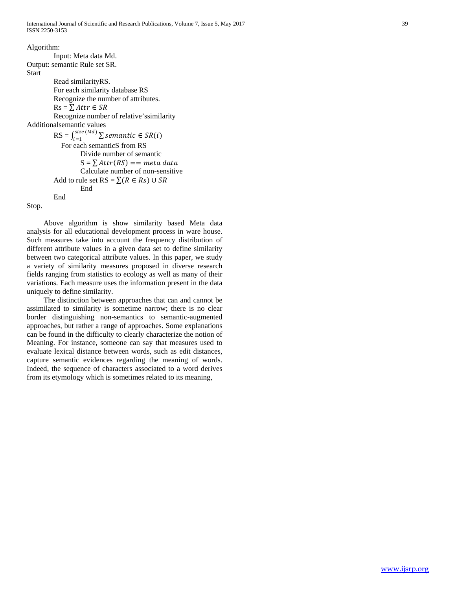Algorithm: Input: Meta data Md. Output: semantic Rule set SR. Start Read similarityRS. For each similarity database RS Recognize the number of attributes.  $Rs = \sum Attr \in SR$ Recognize number of relative'ssimilarity Additionalsemantic values  $\text{RS} = \int_{i=1}^{size (Md)} \sum$  semantic  $\in SR(i)$  For each semanticS from RS Divide number of semantic  $S = \sum$  Attr(RS) == meta data Calculate number of non-sensitive Add to rule set RS =  $\sum (R \in Rs) \cup SR$ End End

Stop.

 Above algorithm is show similarity based Meta data analysis for all educational development process in ware house. Such measures take into account the frequency distribution of different attribute values in a given data set to define similarity between two categorical attribute values. In this paper, we study a variety of similarity measures proposed in diverse research fields ranging from statistics to ecology as well as many of their variations. Each measure uses the information present in the data uniquely to define similarity.

 The distinction between approaches that can and cannot be assimilated to similarity is sometime narrow; there is no clear border distinguishing non-semantics to semantic-augmented approaches, but rather a range of approaches. Some explanations can be found in the difficulty to clearly characterize the notion of Meaning. For instance, someone can say that measures used to evaluate lexical distance between words, such as edit distances, capture semantic evidences regarding the meaning of words. Indeed, the sequence of characters associated to a word derives from its etymology which is sometimes related to its meaning,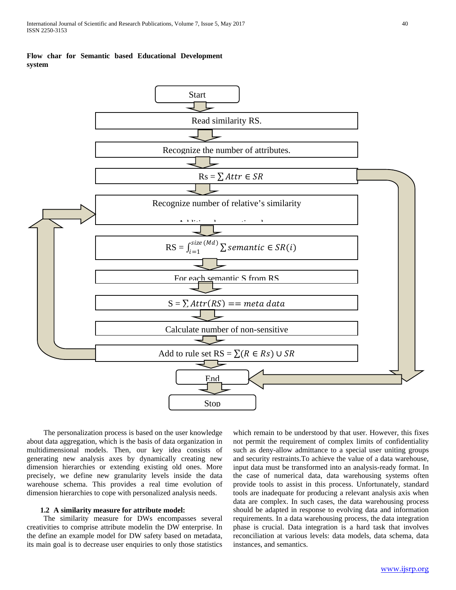## **Flow char for Semantic based Educational Development system**



 The personalization process is based on the user knowledge about data aggregation, which is the basis of data organization in multidimensional models. Then, our key idea consists of generating new analysis axes by dynamically creating new dimension hierarchies or extending existing old ones. More precisely, we define new granularity levels inside the data warehouse schema. This provides a real time evolution of dimension hierarchies to cope with personalized analysis needs.

## **1.2 A similarity measure for attribute model:**

 The similarity measure for DWs encompasses several creativities to comprise attribute modelin the DW enterprise. In the define an example model for DW safety based on metadata, its main goal is to decrease user enquiries to only those statistics which remain to be understood by that user. However, this fixes not permit the requirement of complex limits of confidentiality such as deny-allow admittance to a special user uniting groups and security restraints.To achieve the value of a data warehouse, input data must be transformed into an analysis-ready format. In the case of numerical data, data warehousing systems often provide tools to assist in this process. Unfortunately, standard tools are inadequate for producing a relevant analysis axis when data are complex. In such cases, the data warehousing process should be adapted in response to evolving data and information requirements. In a data warehousing process, the data integration phase is crucial. Data integration is a hard task that involves reconciliation at various levels: data models, data schema, data instances, and semantics.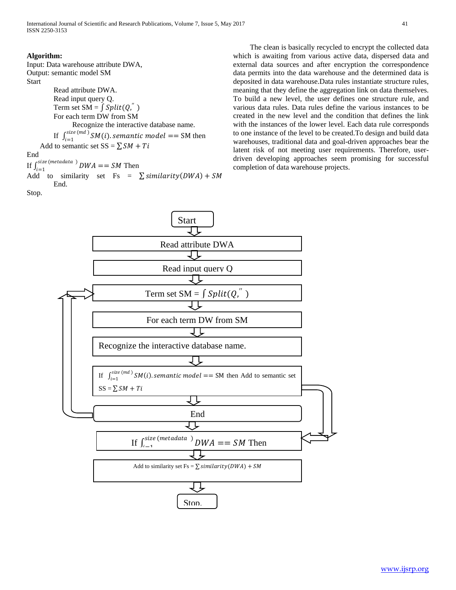#### **Algorithm:**

Input: Data warehouse attribute DWA, Output: semantic model SM **Start** 

Read attribute DWA. Read input query Q. Term set  $SM = \int Split(Q, \theta)$ For each term DW from SM Recognize the interactive database name. If  $\int_{i=1}^{size (md)} SM(i)$ , semantic model == SM then Add to semantic set  $SS = \sum SM + Ti$ End If  $\int_{i=1}^{size(metadata)} DWA = SM$  Then

Add to similarity set Fs =  $\sum$  similarity(DWA) + SM End.

Stop.



 The clean is basically recycled to encrypt the collected data which is awaiting from various active data, dispersed data and external data sources and after encryption the correspondence data permits into the data warehouse and the determined data is deposited in data warehouse.Data rules instantiate structure rules, meaning that they define the aggregation link on data themselves. To build a new level, the user defines one structure rule, and various data rules. Data rules define the various instances to be created in the new level and the condition that defines the link with the instances of the lower level. Each data rule corresponds to one instance of the level to be created.To design and build data warehouses, traditional data and goal-driven approaches bear the latent risk of not meeting user requirements. Therefore, userdriven developing approaches seem promising for successful completion of data warehouse projects.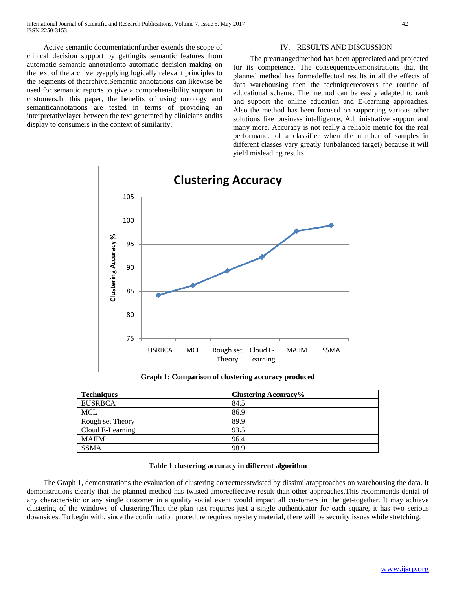Active semantic documentationfurther extends the scope of clinical decision support by gettingits semantic features from automatic semantic annotationto automatic decision making on the text of the archive byapplying logically relevant principles to the segments of thearchive.Semantic annotations can likewise be used for semantic reports to give a comprehensibility support to customers.In this paper, the benefits of using ontology and semanticannotations are tested in terms of providing an interpretativelayer between the text generated by clinicians andits display to consumers in the context of similarity.

#### IV. RESULTS AND DISCUSSION

 The prearrangedmethod has been appreciated and projected for its competence. The consequencedemonstrations that the planned method has formedeffectual results in all the effects of data warehousing then the techniquerecovers the routine of educational scheme. The method can be easily adapted to rank and support the online education and E-learning approaches. Also the method has been focused on supporting various other solutions like business intelligence, Administrative support and many more. Accuracy is not really a reliable metric for the real performance of a classifier when the number of samples in different classes vary greatly (unbalanced target) because it will yield misleading results.



**Graph 1: Comparison of clustering accuracy produced**

| <b>Techniques</b> | <b>Clustering Accuracy%</b> |
|-------------------|-----------------------------|
| <b>EUSRBCA</b>    | 84.5                        |
| <b>MCL</b>        | 86.9                        |
| Rough set Theory  | 89.9                        |
| Cloud E-Learning  | 93.5                        |
| <b>MAIIM</b>      | 96.4                        |
| <b>SSMA</b>       | 98.9                        |

#### **Table 1 clustering accuracy in different algorithm**

 The Graph 1, demonstrations the evaluation of clustering correctnesstwisted by dissimilarapproaches on warehousing the data. It demonstrations clearly that the planned method has twisted amoreeffective result than other approaches.This recommends denial of any characteristic or any single customer in a quality social event would impact all customers in the get-together. It may achieve clustering of the windows of clustering.That the plan just requires just a single authenticator for each square, it has two serious downsides. To begin with, since the confirmation procedure requires mystery material, there will be security issues while stretching.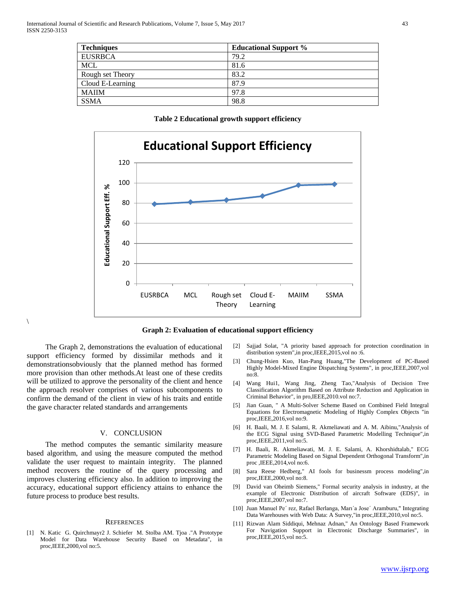| <b>Techniques</b> | <b>Educational Support %</b> |
|-------------------|------------------------------|
| <b>EUSRBCA</b>    | 79.2                         |
| <b>MCL</b>        | 81.6                         |
| Rough set Theory  | 83.2                         |
| Cloud E-Learning  | 87.9                         |
| <b>MAIIM</b>      | 97.8                         |
| <b>SSMA</b>       | 98.8                         |

**Table 2 Educational growth support efficiency**





 The Graph 2, demonstrations the evaluation of educational support efficiency formed by dissimilar methods and it demonstrationsobviously that the planned method has formed more provision than other methods.At least one of these credits will be utilized to approve the personality of the client and hence the approach resolver comprises of various subcomponents to confirm the demand of the client in view of his traits and entitle the gave character related standards and arrangements

 $\setminus$ 

#### V. CONCLUSION

 The method computes the semantic similarity measure based algorithm, and using the measure computed the method validate the user request to maintain integrity. The planned method recovers the routine of the query processing and improves clustering efficiency also. In addition to improving the accuracy, educational support efficiency attains to enhance the future process to produce best results.

#### **REFERENCES**

[1] N. Katic G. Quirchmayr2 J. Schiefer M. Stolba AM. Tjoa ."A Prototype Model for Data Warehouse Security Based on Metadata", in proc,IEEE,2000,vol no:5.

- [2] Sajjad Solat, "A priority based approach for protection coordination in distribution system",in proc,IEEE,2015,vol no :6.
- [3] Chung-Hsien Kuo, Han-Pang Huang,"The Development of PC-Based Highly Model-Mixed Engine Dispatching Systems", in proc,IEEE,2007,vol no:8.
- [4] Wang Hui1, Wang Jing, Zheng Tao,"Analysis of Decision Tree Classification Algorithm Based on Attribute Reduction and Application in Criminal Behavior", in pro,IEEE,2010.vol no:7.
- [5] Jian Guan, " A Multi-Solver Scheme Based on Combined Field Integral Equations for Electromagnetic Modeling of Highly Complex Objects "in proc,IEEE,2016,vol no:9.
- [6] H. Baali, M. J. E Salami, R. Akmeliawati and A. M. Aibinu,"Analysis of the ECG Signal using SVD-Based Parametric Modelling Technique",in proc,IEEE,2011,vol no:5.
- [7] H. Baali, R. Akmeliawati, M. J. E. Salami, A. Khorshidtalab," ECG Parametric Modeling Based on Signal Dependent Orthogonal Transform",in proc ,IEEE,2014,vol no:6.
- [8] Sara Reese Hedberg," AI fools for businessm process modeling",in proc,IEEE,2000,vol no:8.
- [9] David van Oheimb Siemens," Formal security analysis in industry, at the example of Electronic Distribution of aircraft Software (EDS)", in proc, IEEE, 2007, vol no: 7.
- [10] Juan Manuel Pe´ rez, Rafael Berlanga, Marı´a Jose´ Aramburu," Integrating Data Warehouses with Web Data: A Survey,"in proc,IEEE,2010,vol no:5.
- [11] Rizwan Alam Siddiqui, Mehnaz Adnan," An Ontology Based Framework For Navigation Support in Electronic Discharge Summaries", in proc,IEEE,2015,vol no:5.